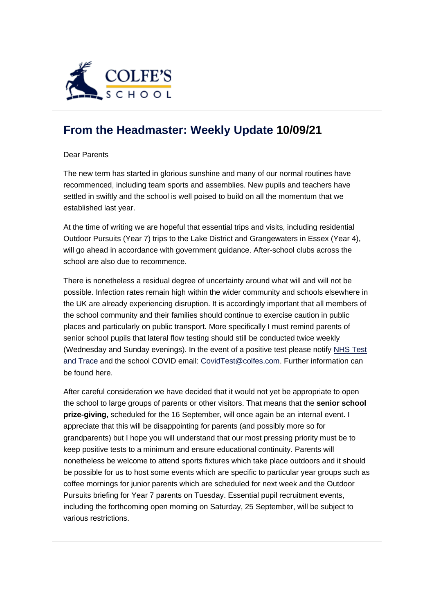

## **[From the Headmaster: Weekly Update](https://urlsand.esvalabs.com/?u=https%3A%2F%2Fschoolpostcdn.blob.core.windows.net%2Fpublic%2F~%2Femail-test-message.html&e=f4e25f66&h=847ca343&f=y&p=y) 10/09/21**

Dear Parents

The new term has started in glorious sunshine and many of our normal routines have recommenced, including team sports and assemblies. New pupils and teachers have settled in swiftly and the school is well poised to build on all the momentum that we established last year.

At the time of writing we are hopeful that essential trips and visits, including residential Outdoor Pursuits (Year 7) trips to the Lake District and Grangewaters in Essex (Year 4), will go ahead in accordance with government guidance. After-school clubs across the school are also due to recommence.

There is nonetheless a residual degree of uncertainty around what will and will not be possible. Infection rates remain high within the wider community and schools elsewhere in the UK are already experiencing disruption. It is accordingly important that all members of the school community and their families should continue to exercise caution in public places and particularly on public transport. More specifically I must remind parents of senior school pupils that lateral flow testing should still be conducted twice weekly (Wednesday and Sunday evenings). In the event of a positive test please notify [NHS Test](https://urlsand.esvalabs.com/?u=https%3A%2F%2Fwww.gov.uk%2Freport-covid19-result%2520a&e=f4e25f66&h=72f3252a&f=y&p=y)  [and Trace](https://urlsand.esvalabs.com/?u=https%3A%2F%2Fwww.gov.uk%2Freport-covid19-result%2520a&e=f4e25f66&h=72f3252a&f=y&p=y) and the school COVID email: [CovidTest@colfes.com.](mailto:CovidTest@colfes.com) Further information can be found here.

After careful consideration we have decided that it would not yet be appropriate to open the school to large groups of parents or other visitors. That means that the **senior school prize-giving,** scheduled for the 16 September, will once again be an internal event. I appreciate that this will be disappointing for parents (and possibly more so for grandparents) but I hope you will understand that our most pressing priority must be to keep positive tests to a minimum and ensure educational continuity. Parents will nonetheless be welcome to attend sports fixtures which take place outdoors and it should be possible for us to host some events which are specific to particular year groups such as coffee mornings for junior parents which are scheduled for next week and the Outdoor Pursuits briefing for Year 7 parents on Tuesday. Essential pupil recruitment events, including the forthcoming open morning on Saturday, 25 September, will be subject to various restrictions.